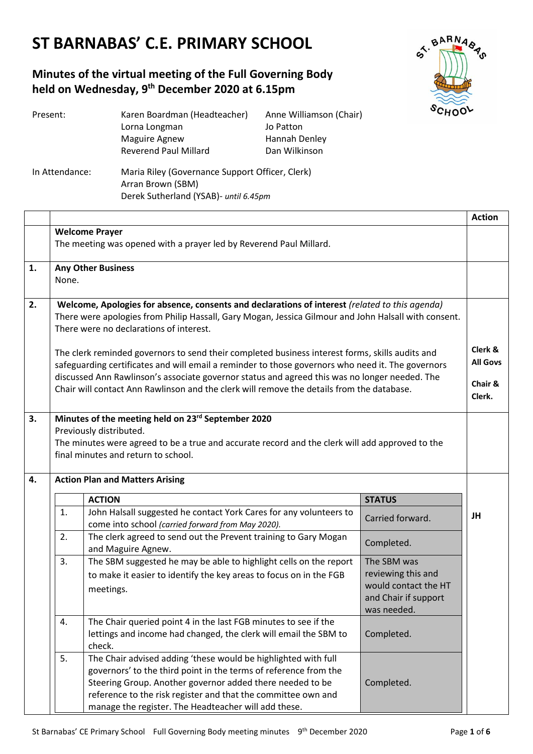# **ST BARNABAS' C.E. PRIMARY SCHOOL**

# **Minutes of the virtual meeting of the Full Governing Body held on Wednesday, 9 th December 2020 at 6.15pm**



| Present:       | Karen Boardman (Headteacher)                    | Anne Williamson (Chair) |  |
|----------------|-------------------------------------------------|-------------------------|--|
|                | Lorna Longman                                   | Jo Patton               |  |
|                | <b>Maguire Agnew</b>                            | Hannah Denley           |  |
|                | <b>Reverend Paul Millard</b>                    | Dan Wilkinson           |  |
| In Attendance: | Maria Riley (Governance Support Officer, Clerk) |                         |  |
|                | Arran Brown (SBM)                               |                         |  |
|                | Derek Sutherland (YSAB)- until 6.45pm           |                         |  |

|               |                                                                                                                                                                                                                                                   |                                                                                                                                                                                                                                                                                                                          |                                                                                                  | <b>Action</b>   |
|---------------|---------------------------------------------------------------------------------------------------------------------------------------------------------------------------------------------------------------------------------------------------|--------------------------------------------------------------------------------------------------------------------------------------------------------------------------------------------------------------------------------------------------------------------------------------------------------------------------|--------------------------------------------------------------------------------------------------|-----------------|
|               | <b>Welcome Prayer</b><br>The meeting was opened with a prayer led by Reverend Paul Millard.                                                                                                                                                       |                                                                                                                                                                                                                                                                                                                          |                                                                                                  |                 |
|               |                                                                                                                                                                                                                                                   |                                                                                                                                                                                                                                                                                                                          |                                                                                                  |                 |
| 1.            | <b>Any Other Business</b><br>None.                                                                                                                                                                                                                |                                                                                                                                                                                                                                                                                                                          |                                                                                                  |                 |
|               |                                                                                                                                                                                                                                                   |                                                                                                                                                                                                                                                                                                                          |                                                                                                  |                 |
| 2.            | Welcome, Apologies for absence, consents and declarations of interest (related to this agenda)<br>There were apologies from Philip Hassall, Gary Mogan, Jessica Gilmour and John Halsall with consent.<br>There were no declarations of interest. |                                                                                                                                                                                                                                                                                                                          |                                                                                                  |                 |
|               |                                                                                                                                                                                                                                                   | The clerk reminded governors to send their completed business interest forms, skills audits and                                                                                                                                                                                                                          |                                                                                                  | Clerk &         |
|               |                                                                                                                                                                                                                                                   | safeguarding certificates and will email a reminder to those governors who need it. The governors                                                                                                                                                                                                                        |                                                                                                  | <b>All Govs</b> |
|               |                                                                                                                                                                                                                                                   | discussed Ann Rawlinson's associate governor status and agreed this was no longer needed. The                                                                                                                                                                                                                            |                                                                                                  | Chair &         |
|               |                                                                                                                                                                                                                                                   | Chair will contact Ann Rawlinson and the clerk will remove the details from the database.                                                                                                                                                                                                                                |                                                                                                  | Clerk.          |
| 3.            | Minutes of the meeting held on 23rd September 2020<br>Previously distributed.<br>The minutes were agreed to be a true and accurate record and the clerk will add approved to the<br>final minutes and return to school.                           |                                                                                                                                                                                                                                                                                                                          |                                                                                                  |                 |
| 4.            | <b>Action Plan and Matters Arising</b>                                                                                                                                                                                                            |                                                                                                                                                                                                                                                                                                                          |                                                                                                  |                 |
| <b>ACTION</b> |                                                                                                                                                                                                                                                   | <b>STATUS</b>                                                                                                                                                                                                                                                                                                            |                                                                                                  |                 |
|               | 1.                                                                                                                                                                                                                                                | John Halsall suggested he contact York Cares for any volunteers to<br>come into school (carried forward from May 2020).                                                                                                                                                                                                  | Carried forward.                                                                                 | JH              |
|               | 2.                                                                                                                                                                                                                                                | The clerk agreed to send out the Prevent training to Gary Mogan<br>and Maguire Agnew.                                                                                                                                                                                                                                    | Completed.                                                                                       |                 |
|               | 3.                                                                                                                                                                                                                                                | The SBM suggested he may be able to highlight cells on the report<br>to make it easier to identify the key areas to focus on in the FGB<br>meetings.                                                                                                                                                                     | The SBM was<br>reviewing this and<br>would contact the HT<br>and Chair if support<br>was needed. |                 |
|               | 4.                                                                                                                                                                                                                                                | The Chair queried point 4 in the last FGB minutes to see if the<br>lettings and income had changed, the clerk will email the SBM to<br>check.                                                                                                                                                                            | Completed.                                                                                       |                 |
|               | 5.                                                                                                                                                                                                                                                | The Chair advised adding 'these would be highlighted with full<br>governors' to the third point in the terms of reference from the<br>Steering Group. Another governor added there needed to be<br>reference to the risk register and that the committee own and<br>manage the register. The Headteacher will add these. | Completed.                                                                                       |                 |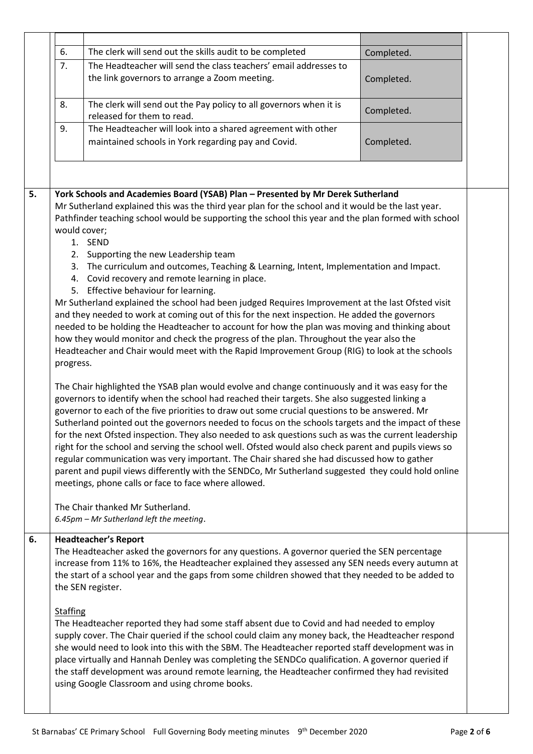| 6.                                                                                                                                                                                                                                                                                                           | The clerk will send out the skills audit to be completed                                                                                                                                                                                                                                                                                                                                                                                                                                                                                                                                                                                                                                                                                                                                                                                                                              | Completed. |  |
|--------------------------------------------------------------------------------------------------------------------------------------------------------------------------------------------------------------------------------------------------------------------------------------------------------------|---------------------------------------------------------------------------------------------------------------------------------------------------------------------------------------------------------------------------------------------------------------------------------------------------------------------------------------------------------------------------------------------------------------------------------------------------------------------------------------------------------------------------------------------------------------------------------------------------------------------------------------------------------------------------------------------------------------------------------------------------------------------------------------------------------------------------------------------------------------------------------------|------------|--|
| 7.                                                                                                                                                                                                                                                                                                           | The Headteacher will send the class teachers' email addresses to                                                                                                                                                                                                                                                                                                                                                                                                                                                                                                                                                                                                                                                                                                                                                                                                                      |            |  |
|                                                                                                                                                                                                                                                                                                              | the link governors to arrange a Zoom meeting.                                                                                                                                                                                                                                                                                                                                                                                                                                                                                                                                                                                                                                                                                                                                                                                                                                         | Completed. |  |
| 8.                                                                                                                                                                                                                                                                                                           | The clerk will send out the Pay policy to all governors when it is<br>released for them to read.                                                                                                                                                                                                                                                                                                                                                                                                                                                                                                                                                                                                                                                                                                                                                                                      | Completed. |  |
| 9.                                                                                                                                                                                                                                                                                                           | The Headteacher will look into a shared agreement with other                                                                                                                                                                                                                                                                                                                                                                                                                                                                                                                                                                                                                                                                                                                                                                                                                          |            |  |
|                                                                                                                                                                                                                                                                                                              | maintained schools in York regarding pay and Covid.                                                                                                                                                                                                                                                                                                                                                                                                                                                                                                                                                                                                                                                                                                                                                                                                                                   | Completed. |  |
|                                                                                                                                                                                                                                                                                                              |                                                                                                                                                                                                                                                                                                                                                                                                                                                                                                                                                                                                                                                                                                                                                                                                                                                                                       |            |  |
| York Schools and Academies Board (YSAB) Plan - Presented by Mr Derek Sutherland<br>Mr Sutherland explained this was the third year plan for the school and it would be the last year.<br>Pathfinder teaching school would be supporting the school this year and the plan formed with school<br>would cover; |                                                                                                                                                                                                                                                                                                                                                                                                                                                                                                                                                                                                                                                                                                                                                                                                                                                                                       |            |  |
|                                                                                                                                                                                                                                                                                                              | 1. SEND                                                                                                                                                                                                                                                                                                                                                                                                                                                                                                                                                                                                                                                                                                                                                                                                                                                                               |            |  |
|                                                                                                                                                                                                                                                                                                              | 2. Supporting the new Leadership team                                                                                                                                                                                                                                                                                                                                                                                                                                                                                                                                                                                                                                                                                                                                                                                                                                                 |            |  |
|                                                                                                                                                                                                                                                                                                              | 3. The curriculum and outcomes, Teaching & Learning, Intent, Implementation and Impact.<br>4. Covid recovery and remote learning in place.<br>5. Effective behaviour for learning.                                                                                                                                                                                                                                                                                                                                                                                                                                                                                                                                                                                                                                                                                                    |            |  |
|                                                                                                                                                                                                                                                                                                              | Mr Sutherland explained the school had been judged Requires Improvement at the last Ofsted visit<br>and they needed to work at coming out of this for the next inspection. He added the governors<br>needed to be holding the Headteacher to account for how the plan was moving and thinking about                                                                                                                                                                                                                                                                                                                                                                                                                                                                                                                                                                                   |            |  |
|                                                                                                                                                                                                                                                                                                              | how they would monitor and check the progress of the plan. Throughout the year also the<br>Headteacher and Chair would meet with the Rapid Improvement Group (RIG) to look at the schools<br>progress.                                                                                                                                                                                                                                                                                                                                                                                                                                                                                                                                                                                                                                                                                |            |  |
|                                                                                                                                                                                                                                                                                                              | The Chair highlighted the YSAB plan would evolve and change continuously and it was easy for the<br>governors to identify when the school had reached their targets. She also suggested linking a<br>governor to each of the five priorities to draw out some crucial questions to be answered. Mr<br>Sutherland pointed out the governors needed to focus on the schools targets and the impact of these<br>for the next Ofsted inspection. They also needed to ask questions such as was the current leadership<br>right for the school and serving the school well. Ofsted would also check parent and pupils views so<br>regular communication was very important. The Chair shared she had discussed how to gather<br>parent and pupil views differently with the SENDCo, Mr Sutherland suggested they could hold online<br>meetings, phone calls or face to face where allowed. |            |  |
|                                                                                                                                                                                                                                                                                                              | The Chair thanked Mr Sutherland.<br>6.45pm - Mr Sutherland left the meeting.                                                                                                                                                                                                                                                                                                                                                                                                                                                                                                                                                                                                                                                                                                                                                                                                          |            |  |
|                                                                                                                                                                                                                                                                                                              | <b>Headteacher's Report</b><br>The Headteacher asked the governors for any questions. A governor queried the SEN percentage<br>increase from 11% to 16%, the Headteacher explained they assessed any SEN needs every autumn at<br>the start of a school year and the gaps from some children showed that they needed to be added to<br>the SEN register.                                                                                                                                                                                                                                                                                                                                                                                                                                                                                                                              |            |  |
|                                                                                                                                                                                                                                                                                                              | <b>Staffing</b><br>The Headteacher reported they had some staff absent due to Covid and had needed to employ<br>supply cover. The Chair queried if the school could claim any money back, the Headteacher respond<br>she would need to look into this with the SBM. The Headteacher reported staff development was in<br>place virtually and Hannah Denley was completing the SENDCo qualification. A governor queried if<br>the staff development was around remote learning, the Headteacher confirmed they had revisited<br>using Google Classroom and using chrome books.                                                                                                                                                                                                                                                                                                         |            |  |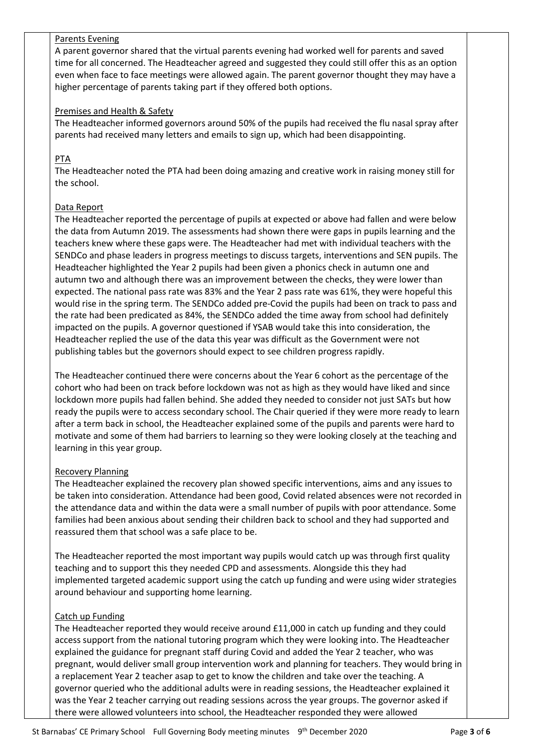# Parents Evening

A parent governor shared that the virtual parents evening had worked well for parents and saved time for all concerned. The Headteacher agreed and suggested they could still offer this as an option even when face to face meetings were allowed again. The parent governor thought they may have a higher percentage of parents taking part if they offered both options.

#### Premises and Health & Safety

The Headteacher informed governors around 50% of the pupils had received the flu nasal spray after parents had received many letters and emails to sign up, which had been disappointing.

# PTA

The Headteacher noted the PTA had been doing amazing and creative work in raising money still for the school.

# Data Report

The Headteacher reported the percentage of pupils at expected or above had fallen and were below the data from Autumn 2019. The assessments had shown there were gaps in pupils learning and the teachers knew where these gaps were. The Headteacher had met with individual teachers with the SENDCo and phase leaders in progress meetings to discuss targets, interventions and SEN pupils. The Headteacher highlighted the Year 2 pupils had been given a phonics check in autumn one and autumn two and although there was an improvement between the checks, they were lower than expected. The national pass rate was 83% and the Year 2 pass rate was 61%, they were hopeful this would rise in the spring term. The SENDCo added pre-Covid the pupils had been on track to pass and the rate had been predicated as 84%, the SENDCo added the time away from school had definitely impacted on the pupils. A governor questioned if YSAB would take this into consideration, the Headteacher replied the use of the data this year was difficult as the Government were not publishing tables but the governors should expect to see children progress rapidly.

The Headteacher continued there were concerns about the Year 6 cohort as the percentage of the cohort who had been on track before lockdown was not as high as they would have liked and since lockdown more pupils had fallen behind. She added they needed to consider not just SATs but how ready the pupils were to access secondary school. The Chair queried if they were more ready to learn after a term back in school, the Headteacher explained some of the pupils and parents were hard to motivate and some of them had barriers to learning so they were looking closely at the teaching and learning in this year group.

# Recovery Planning

The Headteacher explained the recovery plan showed specific interventions, aims and any issues to be taken into consideration. Attendance had been good, Covid related absences were not recorded in the attendance data and within the data were a small number of pupils with poor attendance. Some families had been anxious about sending their children back to school and they had supported and reassured them that school was a safe place to be.

The Headteacher reported the most important way pupils would catch up was through first quality teaching and to support this they needed CPD and assessments. Alongside this they had implemented targeted academic support using the catch up funding and were using wider strategies around behaviour and supporting home learning.

# Catch up Funding

The Headteacher reported they would receive around £11,000 in catch up funding and they could access support from the national tutoring program which they were looking into. The Headteacher explained the guidance for pregnant staff during Covid and added the Year 2 teacher, who was pregnant, would deliver small group intervention work and planning for teachers. They would bring in a replacement Year 2 teacher asap to get to know the children and take over the teaching. A governor queried who the additional adults were in reading sessions, the Headteacher explained it was the Year 2 teacher carrying out reading sessions across the year groups. The governor asked if there were allowed volunteers into school, the Headteacher responded they were allowed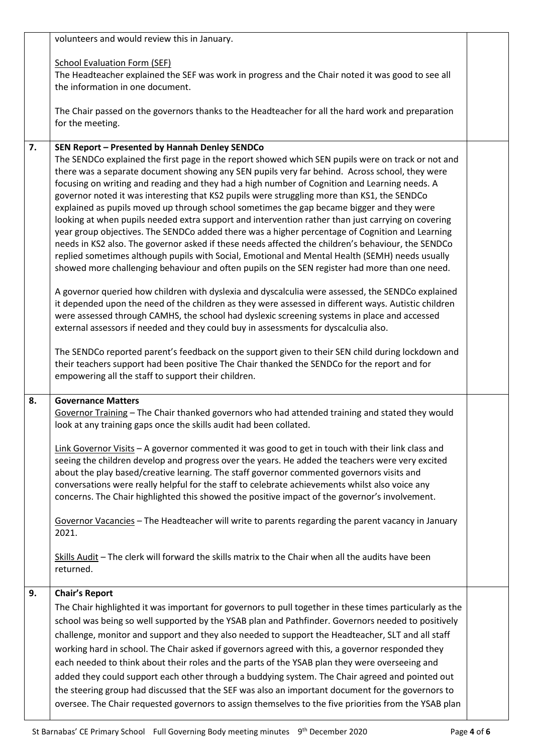|    | volunteers and would review this in January.                                                                                                                                                                                                                                                                                                                                                                                                                                                                                                                                                                                                                                                                                                                                                                                                                                                                                                                                                                                                                                                                                                                                                                                                                                                                                                                                                                                                                                                                                                                                                                                                                                                                                             |  |  |
|----|------------------------------------------------------------------------------------------------------------------------------------------------------------------------------------------------------------------------------------------------------------------------------------------------------------------------------------------------------------------------------------------------------------------------------------------------------------------------------------------------------------------------------------------------------------------------------------------------------------------------------------------------------------------------------------------------------------------------------------------------------------------------------------------------------------------------------------------------------------------------------------------------------------------------------------------------------------------------------------------------------------------------------------------------------------------------------------------------------------------------------------------------------------------------------------------------------------------------------------------------------------------------------------------------------------------------------------------------------------------------------------------------------------------------------------------------------------------------------------------------------------------------------------------------------------------------------------------------------------------------------------------------------------------------------------------------------------------------------------------|--|--|
|    | <b>School Evaluation Form (SEF)</b><br>The Headteacher explained the SEF was work in progress and the Chair noted it was good to see all<br>the information in one document.                                                                                                                                                                                                                                                                                                                                                                                                                                                                                                                                                                                                                                                                                                                                                                                                                                                                                                                                                                                                                                                                                                                                                                                                                                                                                                                                                                                                                                                                                                                                                             |  |  |
|    | The Chair passed on the governors thanks to the Headteacher for all the hard work and preparation<br>for the meeting.                                                                                                                                                                                                                                                                                                                                                                                                                                                                                                                                                                                                                                                                                                                                                                                                                                                                                                                                                                                                                                                                                                                                                                                                                                                                                                                                                                                                                                                                                                                                                                                                                    |  |  |
| 7. | SEN Report - Presented by Hannah Denley SENDCo<br>The SENDCo explained the first page in the report showed which SEN pupils were on track or not and<br>there was a separate document showing any SEN pupils very far behind. Across school, they were<br>focusing on writing and reading and they had a high number of Cognition and Learning needs. A<br>governor noted it was interesting that KS2 pupils were struggling more than KS1, the SENDCo<br>explained as pupils moved up through school sometimes the gap became bigger and they were<br>looking at when pupils needed extra support and intervention rather than just carrying on covering<br>year group objectives. The SENDCo added there was a higher percentage of Cognition and Learning<br>needs in KS2 also. The governor asked if these needs affected the children's behaviour, the SENDCo<br>replied sometimes although pupils with Social, Emotional and Mental Health (SEMH) needs usually<br>showed more challenging behaviour and often pupils on the SEN register had more than one need.<br>A governor queried how children with dyslexia and dyscalculia were assessed, the SENDCo explained<br>it depended upon the need of the children as they were assessed in different ways. Autistic children<br>were assessed through CAMHS, the school had dyslexic screening systems in place and accessed<br>external assessors if needed and they could buy in assessments for dyscalculia also.<br>The SENDCo reported parent's feedback on the support given to their SEN child during lockdown and<br>their teachers support had been positive The Chair thanked the SENDCo for the report and for<br>empowering all the staff to support their children. |  |  |
| 8. | <b>Governance Matters</b><br>Governor Training - The Chair thanked governors who had attended training and stated they would<br>look at any training gaps once the skills audit had been collated.                                                                                                                                                                                                                                                                                                                                                                                                                                                                                                                                                                                                                                                                                                                                                                                                                                                                                                                                                                                                                                                                                                                                                                                                                                                                                                                                                                                                                                                                                                                                       |  |  |
|    | Link Governor Visits $-$ A governor commented it was good to get in touch with their link class and<br>seeing the children develop and progress over the years. He added the teachers were very excited<br>about the play based/creative learning. The staff governor commented governors visits and<br>conversations were really helpful for the staff to celebrate achievements whilst also voice any<br>concerns. The Chair highlighted this showed the positive impact of the governor's involvement.<br>Governor Vacancies - The Headteacher will write to parents regarding the parent vacancy in January<br>2021.                                                                                                                                                                                                                                                                                                                                                                                                                                                                                                                                                                                                                                                                                                                                                                                                                                                                                                                                                                                                                                                                                                                 |  |  |
|    | Skills Audit - The clerk will forward the skills matrix to the Chair when all the audits have been<br>returned.                                                                                                                                                                                                                                                                                                                                                                                                                                                                                                                                                                                                                                                                                                                                                                                                                                                                                                                                                                                                                                                                                                                                                                                                                                                                                                                                                                                                                                                                                                                                                                                                                          |  |  |
| 9. | <b>Chair's Report</b><br>The Chair highlighted it was important for governors to pull together in these times particularly as the<br>school was being so well supported by the YSAB plan and Pathfinder. Governors needed to positively<br>challenge, monitor and support and they also needed to support the Headteacher, SLT and all staff<br>working hard in school. The Chair asked if governors agreed with this, a governor responded they<br>each needed to think about their roles and the parts of the YSAB plan they were overseeing and<br>added they could support each other through a buddying system. The Chair agreed and pointed out<br>the steering group had discussed that the SEF was also an important document for the governors to<br>oversee. The Chair requested governors to assign themselves to the five priorities from the YSAB plan                                                                                                                                                                                                                                                                                                                                                                                                                                                                                                                                                                                                                                                                                                                                                                                                                                                                      |  |  |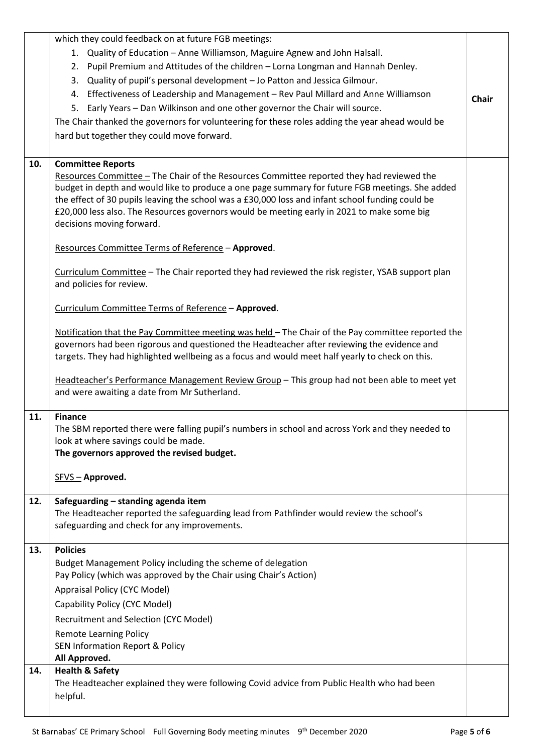|     | which they could feedback on at future FGB meetings:                                                                                                                                              |              |
|-----|---------------------------------------------------------------------------------------------------------------------------------------------------------------------------------------------------|--------------|
|     | 1. Quality of Education - Anne Williamson, Maguire Agnew and John Halsall.                                                                                                                        |              |
|     | 2. Pupil Premium and Attitudes of the children - Lorna Longman and Hannah Denley.                                                                                                                 |              |
|     | Quality of pupil's personal development - Jo Patton and Jessica Gilmour.<br>3.                                                                                                                    |              |
|     | 4. Effectiveness of Leadership and Management - Rev Paul Millard and Anne Williamson                                                                                                              |              |
|     | 5. Early Years - Dan Wilkinson and one other governor the Chair will source.                                                                                                                      | <b>Chair</b> |
|     | The Chair thanked the governors for volunteering for these roles adding the year ahead would be                                                                                                   |              |
|     | hard but together they could move forward.                                                                                                                                                        |              |
|     |                                                                                                                                                                                                   |              |
| 10. | <b>Committee Reports</b>                                                                                                                                                                          |              |
|     | Resources Committee - The Chair of the Resources Committee reported they had reviewed the                                                                                                         |              |
|     | budget in depth and would like to produce a one page summary for future FGB meetings. She added                                                                                                   |              |
|     | the effect of 30 pupils leaving the school was a £30,000 loss and infant school funding could be                                                                                                  |              |
|     | £20,000 less also. The Resources governors would be meeting early in 2021 to make some big<br>decisions moving forward.                                                                           |              |
|     |                                                                                                                                                                                                   |              |
|     | Resources Committee Terms of Reference - Approved.                                                                                                                                                |              |
|     |                                                                                                                                                                                                   |              |
|     | Curriculum Committee - The Chair reported they had reviewed the risk register, YSAB support plan<br>and policies for review.                                                                      |              |
|     |                                                                                                                                                                                                   |              |
|     | Curriculum Committee Terms of Reference - Approved.                                                                                                                                               |              |
|     |                                                                                                                                                                                                   |              |
|     | Notification that the Pay Committee meeting was held - The Chair of the Pay committee reported the<br>governors had been rigorous and questioned the Headteacher after reviewing the evidence and |              |
|     | targets. They had highlighted wellbeing as a focus and would meet half yearly to check on this.                                                                                                   |              |
|     |                                                                                                                                                                                                   |              |
|     | Headteacher's Performance Management Review Group - This group had not been able to meet yet                                                                                                      |              |
|     | and were awaiting a date from Mr Sutherland.                                                                                                                                                      |              |
| 11. | <b>Finance</b>                                                                                                                                                                                    |              |
|     | The SBM reported there were falling pupil's numbers in school and across York and they needed to                                                                                                  |              |
|     | look at where savings could be made.                                                                                                                                                              |              |
|     | The governors approved the revised budget.                                                                                                                                                        |              |
|     | SFVS - Approved.                                                                                                                                                                                  |              |
|     |                                                                                                                                                                                                   |              |
| 12. | Safeguarding - standing agenda item                                                                                                                                                               |              |
|     | The Headteacher reported the safeguarding lead from Pathfinder would review the school's                                                                                                          |              |
|     | safeguarding and check for any improvements.                                                                                                                                                      |              |
| 13. | <b>Policies</b>                                                                                                                                                                                   |              |
|     | Budget Management Policy including the scheme of delegation                                                                                                                                       |              |
|     | Pay Policy (which was approved by the Chair using Chair's Action)                                                                                                                                 |              |
|     | Appraisal Policy (CYC Model)                                                                                                                                                                      |              |
|     | Capability Policy (CYC Model)                                                                                                                                                                     |              |
|     | Recruitment and Selection (CYC Model)                                                                                                                                                             |              |
|     | <b>Remote Learning Policy</b>                                                                                                                                                                     |              |
|     | <b>SEN Information Report &amp; Policy</b>                                                                                                                                                        |              |
|     | All Approved.                                                                                                                                                                                     |              |
| 14. | <b>Health &amp; Safety</b>                                                                                                                                                                        |              |
|     | The Headteacher explained they were following Covid advice from Public Health who had been<br>helpful.                                                                                            |              |
|     |                                                                                                                                                                                                   |              |
|     |                                                                                                                                                                                                   |              |